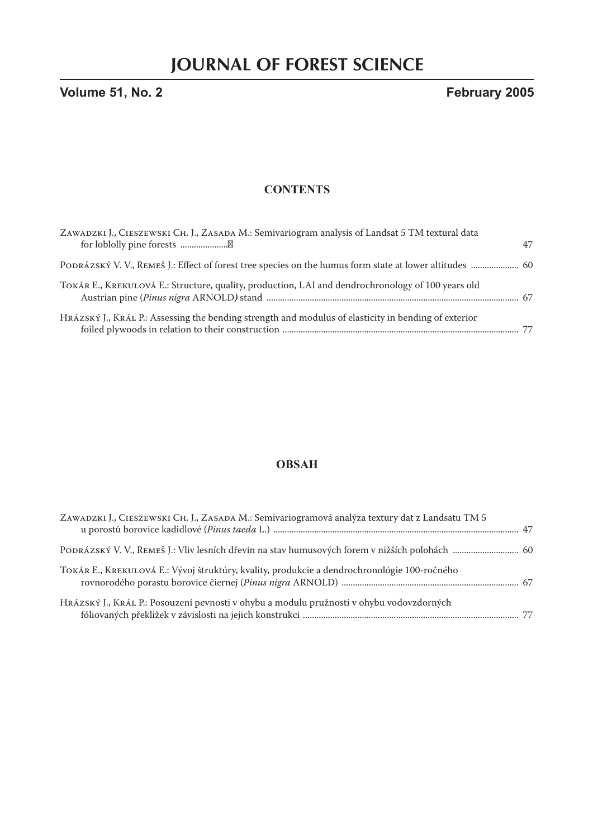**Volume 51, No. 2 February 2005**

### **CONTENTS**

| ZAWADZKI J., CIESZEWSKI CH. J., ZASADA M.: Semivariogram analysis of Landsat 5 TM textural data         | 47 |
|---------------------------------------------------------------------------------------------------------|----|
| PODRÁZSKÝ V. V., REMEŠ J.: Effect of forest tree species on the humus form state at lower altitudes  60 |    |
| TOKÁR E., KREKULOVÁ E.: Structure, quality, production, LAI and dendrochronology of 100 years old       |    |
| HRÁZSKÝ J., KRÁL P.: Assessing the bending strength and modulus of elasticity in bending of exterior    |    |

# **OBSAH**

| ZAWADZKI J., CIESZEWSKI CH. J., ZASADA M.: Semivariogramová analýza textury dat z Landsatu TM 5 |  |
|-------------------------------------------------------------------------------------------------|--|
|                                                                                                 |  |
| TOKÁR E., KREKULOVÁ E.: Vývoj štruktúry, kvality, produkcie a dendrochronológie 100-ročného     |  |
| Hrázský J., Král P.: Posouzení pevnosti v ohybu a modulu pružnosti v ohybu vodovzdorných        |  |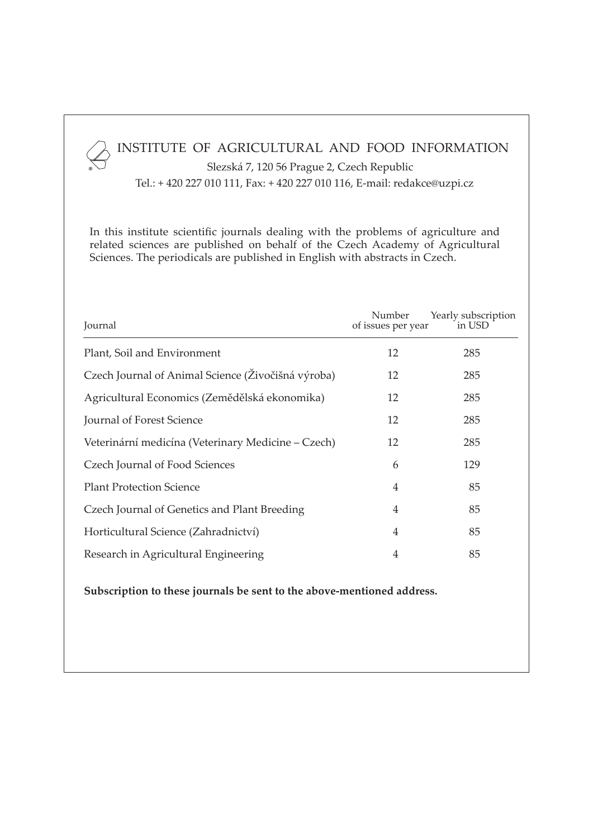# INSTITUTE OF AGRICULTURAL AND FOOD INFORMATION

 Slezská 7, 120 56 Prague 2, Czech Republic Tel.: + 420 227 010 111, Fax: + 420 227 010 116, E-mail: redakce@uzpi.cz

®

In this institute scientific journals dealing with the problems of agriculture and related sciences are published on behalf of the Czech Academy of Agricultural Sciences. The periodicals are published in English with abstracts in Czech.

| Journal                                            | Number<br>of issues per year | Yearly subscription<br>in USD |
|----------------------------------------------------|------------------------------|-------------------------------|
| Plant, Soil and Environment                        | 12                           | 285                           |
| Czech Journal of Animal Science (Živočišná výroba) | 12                           | 285                           |
| Agricultural Economics (Zemědělská ekonomika)      | 12                           | 285                           |
| Journal of Forest Science                          | 12                           | 285                           |
| Veterinární medicína (Veterinary Medicine – Czech) | 12                           | 285                           |
| Czech Journal of Food Sciences                     | 6                            | 129                           |
| <b>Plant Protection Science</b>                    | 4                            | 85                            |
| Czech Journal of Genetics and Plant Breeding       | 4                            | 85                            |
| Horticultural Science (Zahradnictví)               | 4                            | 85                            |
| Research in Agricultural Engineering               | 4                            | 85                            |

**Subscription to these journals be sent to the above-mentioned address.**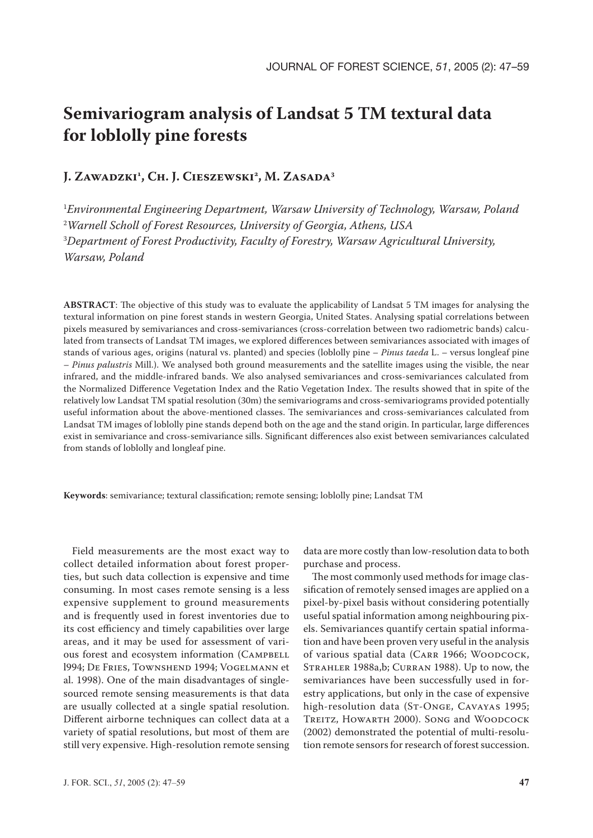# **Semivariogram analysis of Landsat 5 TM textural data for loblolly pine forests**

# **J. ZAWADZKI1 , CH. J. CIESZEWSKI2 , M. ZASADA3**

 *Environmental Engineering Department, Warsaw University of Technology, Warsaw, Poland Warnell Scholl of Forest Resources, University of Georgia, Athens, USA Department of Forest Productivity, Faculty of Forestry, Warsaw Agricultural University, Warsaw, Poland*

**ABSTRACT**: The objective of this study was to evaluate the applicability of Landsat 5 TM images for analysing the textural information on pine forest stands in western Georgia, United States. Analysing spatial correlations between pixels measured by semivariances and cross-semivariances (cross-correlation between two radiometric bands) calculated from transects of Landsat TM images, we explored differences between semivariances associated with images of stands of various ages, origins (natural vs. planted) and species (loblolly pine – *Pinus taeda* L. – versus longleaf pine – *Pinus palustris* Mill.). We analysed both ground measurements and the satellite images using the visible, the near infrared, and the middle-infrared bands. We also analysed semivariances and cross-semivariances calculated from the Normalized Difference Vegetation Index and the Ratio Vegetation Index. The results showed that in spite of the relatively low Landsat TM spatial resolution (30m) the semivariograms and cross-semivariograms provided potentially useful information about the above-mentioned classes. The semivariances and cross-semivariances calculated from Landsat TM images of loblolly pine stands depend both on the age and the stand origin. In particular, large differences exist in semivariance and cross-semivariance sills. Significant differences also exist between semivariances calculated from stands of loblolly and longleaf pine.

**Keywords**: semivariance; textural classification; remote sensing; loblolly pine; Landsat TM

Field measurements are the most exact way to collect detailed information about forest properties, but such data collection is expensive and time consuming. In most cases remote sensing is a less expensive supplement to ground measurements and is frequently used in forest inventories due to its cost efficiency and timely capabilities over large areas, and it may be used for assessment of various forest and ecosystem information (CAMPBELL l994; DE FRIES, TOWNSHEND 1994; VOGELMANN et al. 1998). One of the main disadvantages of singlesourced remote sensing measurements is that data are usually collected at a single spatial resolution. Different airborne techniques can collect data at a variety of spatial resolutions, but most of them are still very expensive. High-resolution remote sensing

data are more costly than low-resolution data to both purchase and process.

The most commonly used methods for image classification of remotely sensed images are applied on a pixel-by-pixel basis without considering potentially useful spatial information among neighbouring pixels. Semivariances quantify certain spatial information and have been proven very useful in the analysis of various spatial data (CARR 1966; WOODCOCK, STRAHLER 1988a,b; CURRAN 1988). Up to now, the semivariances have been successfully used in forestry applications, but only in the case of expensive high-resolution data (ST-ONGE, CAVAYAS 1995; TREITZ, HOWARTH 2000). SONG and WOODCOCK (2002) demonstrated the potential of multi-resolution remote sensors for research of forest succession.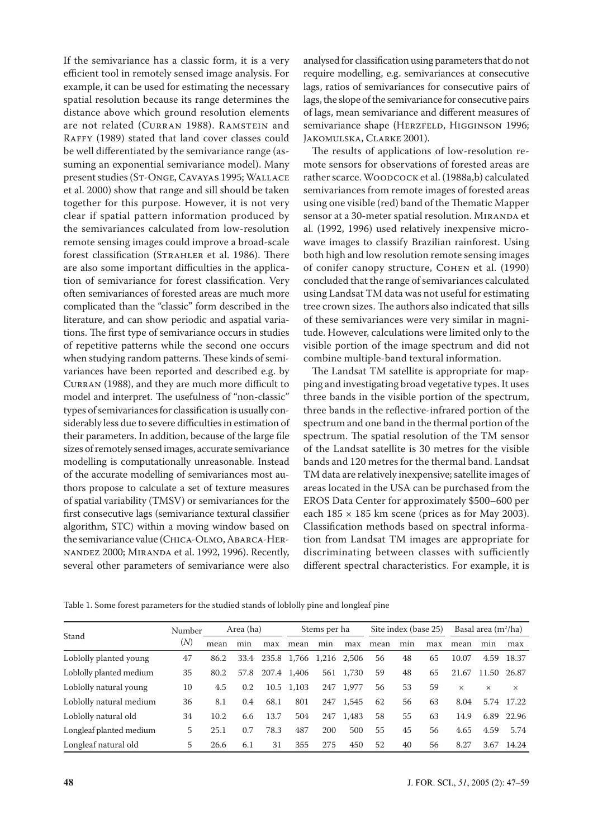If the semivariance has a classic form, it is a very efficient tool in remotely sensed image analysis. For example, it can be used for estimating the necessary spatial resolution because its range determines the distance above which ground resolution elements are not related (CURRAN 1988). RAMSTEIN and RAFFY (1989) stated that land cover classes could be well differentiated by the semivariance range (assuming an exponential semivariance model). Many present studies (ST-ONGE, CAVAYAS 1995; WALLACE et al. 2000) show that range and sill should be taken together for this purpose. However, it is not very clear if spatial pattern information produced by the semivariances calculated from low-resolution remote sensing images could improve a broad-scale forest classification (STRAHLER et al. 1986). There are also some important difficulties in the application of semivariance for forest classification. Very often semivariances of forested areas are much more complicated than the "classic" form described in the literature, and can show periodic and aspatial variations. The first type of semivariance occurs in studies of repetitive patterns while the second one occurs when studying random patterns. These kinds of semivariances have been reported and described e.g. by CURRAN (1988), and they are much more difficult to model and interpret. The usefulness of "non-classic" types of semivariances for classification is usually considerably less due to severe difficulties in estimation of their parameters. In addition, because of the large file sizes of remotely sensed images, accurate semivariance modelling is computationally unreasonable. Instead of the accurate modelling of semivariances most authors propose to calculate a set of texture measures of spatial variability (TMSV) or semivariances for the first consecutive lags (semivariance textural classifier algorithm, STC) within a moving window based on the semivariance value (CHICA-OLMO, ABARCA-HER-NANDEZ 2000; MIRANDA et al. 1992, 1996). Recently, several other parameters of semivariance were also

analysed for classification using parameters that do not require modelling, e.g. semivariances at consecutive lags, ratios of semivariances for consecutive pairs of lags, the slope of the semivariance for consecutive pairs of lags, mean semivariance and different measures of semivariance shape (HERZFELD, HIGGINSON 1996; JAKOMULSKA, CLARKE 2001).

The results of applications of low-resolution remote sensors for observations of forested areas are rather scarce. WOODCOCK et al. (1988a,b) calculated semivariances from remote images of forested areas using one visible (red) band of the Thematic Mapper sensor at a 30-meter spatial resolution. MIRANDA et al. (1992, 1996) used relatively inexpensive microwave images to classify Brazilian rainforest. Using both high and low resolution remote sensing images of conifer canopy structure, COHEN et al. (1990) concluded that the range of semivariances calculated using Landsat TM data was not useful for estimating tree crown sizes. The authors also indicated that sills of these semivariances were very similar in magnitude. However, calculations were limited only to the visible portion of the image spectrum and did not combine multiple-band textural information.

The Landsat TM satellite is appropriate for mapping and investigating broad vegetative types. It uses three bands in the visible portion of the spectrum, three bands in the reflective-infrared portion of the spectrum and one band in the thermal portion of the spectrum. The spatial resolution of the TM sensor of the Landsat satellite is 30 metres for the visible bands and 120 metres for the thermal band. Landsat TM data are relatively inexpensive; satellite images of areas located in the USA can be purchased from the EROS Data Center for approximately \$500–600 per each  $185 \times 185$  km scene (prices as for May 2003). Classification methods based on spectral information from Landsat TM images are appropriate for discriminating between classes with sufficiently different spectral characteristics. For example, it is

|                         | Number | Area (ha) |      | Stems per ha |       | Site index (base 25) |       |      | Basal area $(m^2/ha)$ |     |          |          |          |
|-------------------------|--------|-----------|------|--------------|-------|----------------------|-------|------|-----------------------|-----|----------|----------|----------|
| Stand                   | (N)    | mean      | min  | max          | mean  | min                  | max   | mean | min                   | max | mean     | min      | max      |
| Loblolly planted young  | 47     | 86.2      | 33.4 | 235.8        | 1,766 | 1,216                | 2,506 | 56   | 48                    | 65  | 10.07    | 4.59     | 18.37    |
| Loblolly planted medium | 35     | 80.2      | 57.8 | 207.4        | 1,406 | 561                  | 1,730 | 59   | 48                    | 65  | 21.67    | 11.50    | 26.87    |
| Loblolly natural young  | 10     | 4.5       | 0.2  | 10.5         | 1,103 | 247                  | 1,977 | 56   | 53                    | 59  | $\times$ | $\times$ | $\times$ |
| Loblolly natural medium | 36     | 8.1       | 0.4  | 68.1         | 801   | 247                  | 1,545 | 62   | 56                    | 63  | 8.04     | 5.74     | 17.22    |
| Loblolly natural old    | 34     | 10.2      | 6.6  | 13.7         | 504   | 247                  | 1,483 | 58   | 55                    | 63  | 14.9     | 6.89     | 22.96    |
| Longleaf planted medium | 5      | 25.1      | 0.7  | 78.3         | 487   | 200                  | 500   | 55   | 45                    | 56  | 4.65     | 4.59     | 5.74     |
| Longleaf natural old    | 5      | 26.6      | 6.1  | 31           | 355   | 275                  | 450   | 52   | 40                    | 56  | 8.27     | 3.67     | 14.24    |

Table 1. Some forest parameters for the studied stands of loblolly pine and longleaf pine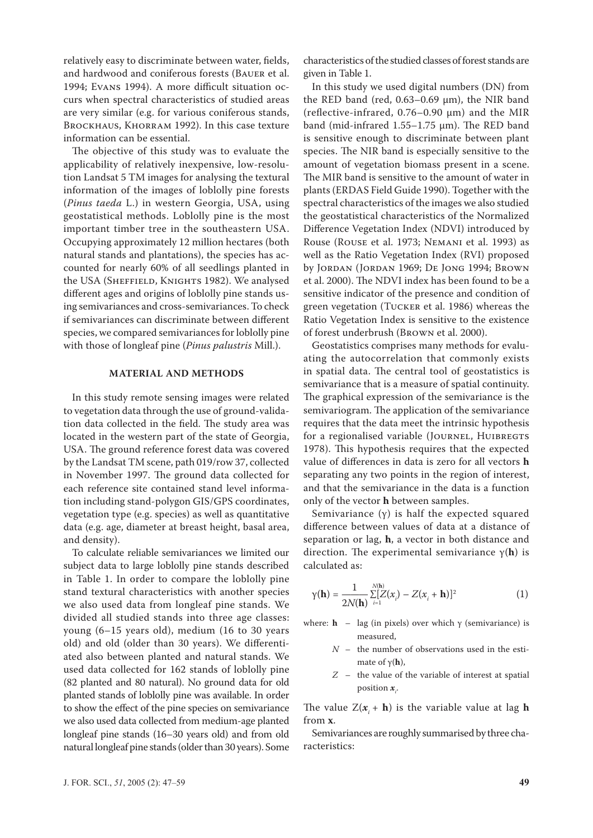relatively easy to discriminate between water, fields, and hardwood and coniferous forests (BAUER et al. 1994; EVANS 1994). A more difficult situation occurs when spectral characteristics of studied areas are very similar (e.g. for various coniferous stands, BROCKHAUS, KHORRAM 1992). In this case texture information can be essential.

The objective of this study was to evaluate the applicability of relatively inexpensive, low-resolution Landsat 5 TM images for analysing the textural information of the images of loblolly pine forests (*Pinus taeda* L.) in western Georgia, USA, using geostatistical methods. Loblolly pine is the most important timber tree in the southeastern USA. Occupying approximately 12 million hectares (both natural stands and plantations), the species has accounted for nearly 60% of all seedlings planted in the USA (SHEFFIELD, KNIGHTS 1982). We analysed different ages and origins of loblolly pine stands using semivariances and cross-semivariances. To check if semivariances can discriminate between different species, we compared semivariances for loblolly pine with those of longleaf pine (*Pinus palustris* Mill.).

#### **MATERIAL AND METHODS**

In this study remote sensing images were related to vegetation data through the use of ground-validation data collected in the field. The study area was located in the western part of the state of Georgia, USA. The ground reference forest data was covered by the Landsat TM scene, path 019/row 37, collected in November 1997. The ground data collected for each reference site contained stand level information including stand-polygon GIS/GPS coordinates, vegetation type (e.g. species) as well as quantitative data (e.g. age, diameter at breast height, basal area, and density).

To calculate reliable semivariances we limited our subject data to large loblolly pine stands described in Table 1. In order to compare the loblolly pine stand textural characteristics with another species we also used data from longleaf pine stands. We divided all studied stands into three age classes: young (6–15 years old), medium (16 to 30 years old) and old (older than 30 years). We differentiated also between planted and natural stands. We used data collected for 162 stands of loblolly pine (82 planted and 80 natural). No ground data for old planted stands of loblolly pine was available. In order to show the effect of the pine species on semivariance we also used data collected from medium-age planted longleaf pine stands (16–30 years old) and from old natural longleaf pine stands (older than 30 years). Some

characteristics of the studied classes of forest stands are given in Table 1.

In this study we used digital numbers (DN) from the RED band (red,  $0.63-0.69$  µm), the NIR band (reflective-infrared, 0.76–0.90 µm) and the MIR band (mid-infrared 1.55–1.75 µm). The RED band is sensitive enough to discriminate between plant species. The NIR band is especially sensitive to the amount of vegetation biomass present in a scene. The MIR band is sensitive to the amount of water in plants (ERDAS Field Guide 1990). Together with the spectral characteristics of the images we also studied the geostatistical characteristics of the Normalized Difference Vegetation Index (NDVI) introduced by Rouse (ROUSE et al. 1973; NEMANI et al. 1993) as well as the Ratio Vegetation Index (RVI) proposed by JORDAN (JORDAN 1969; DE JONG 1994; BROWN et al. 2000). The NDVI index has been found to be a sensitive indicator of the presence and condition of green vegetation (TUCKER et al. 1986) whereas the Ratio Vegetation Index is sensitive to the existence of forest underbrush (BROWN et al. 2000).

Geostatistics comprises many methods for evaluating the autocorrelation that commonly exists in spatial data. The central tool of geostatistics is semivariance that is a measure of spatial continuity. The graphical expression of the semivariance is the semivariogram. The application of the semivariance requires that the data meet the intrinsic hypothesis for a regionalised variable (JOURNEL, HUIBREGTS 1978). This hypothesis requires that the expected value of differences in data is zero for all vectors **h** separating any two points in the region of interest, and that the semivariance in the data is a function only of the vector **h** between samples.

Semivariance  $(y)$  is half the expected squared difference between values of data at a distance of separation or lag, **h**, a vector in both distance and direction. The experimental semivariance γ(**h**) is calculated as:

$$
\gamma(\mathbf{h}) = \frac{1}{2N(\mathbf{h})} \sum_{i=1}^{N(\mathbf{h})} [Z(x_i) - Z(x_i + \mathbf{h})]^2
$$
(1)

where:  $h - \text{lag (in pixels)}$  over which  $\gamma$  (semivariance) is measured,

- *N* the number of observations used in the estimate of γ(**h**),
- *Z* the value of the variable of interest at spatial position *x<sup>i</sup>* .

The value  $Z(x_i + h)$  is the variable value at lag **h** from **x**.

Semivariances are roughly summarised by three characteristics: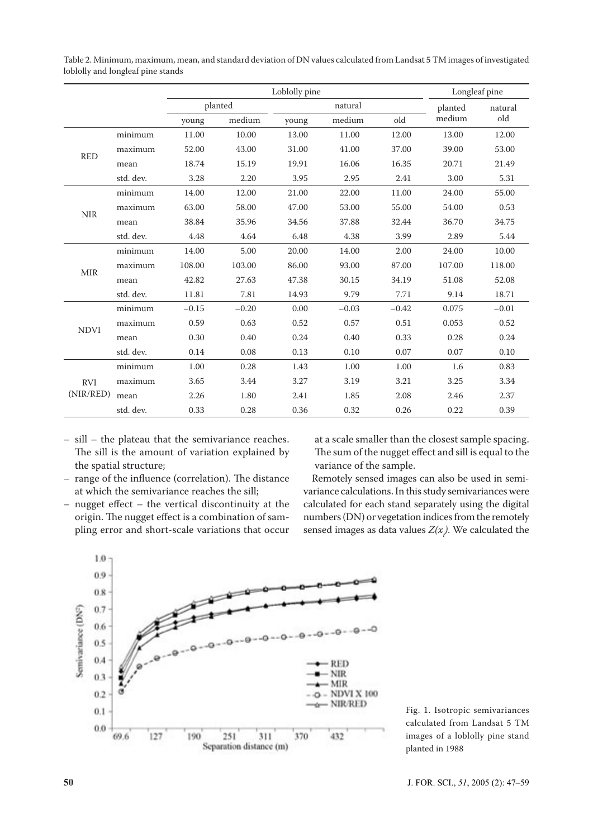|             |           |         | Loblolly pine      | Longleaf pine |         |         |        |         |  |
|-------------|-----------|---------|--------------------|---------------|---------|---------|--------|---------|--|
|             |           |         | planted<br>natural |               |         |         |        | natural |  |
|             |           |         | medium<br>young    |               | medium  | old     |        | old     |  |
|             | minimum   | 11.00   | 10.00              | 13.00         | 11.00   | 12.00   | 13.00  | 12.00   |  |
| <b>RED</b>  | maximum   | 52.00   | 43.00              | 31.00         | 41.00   | 37.00   | 39.00  | 53.00   |  |
|             | mean      | 18.74   | 15.19              | 19.91         | 16.06   | 16.35   | 20.71  | 21.49   |  |
|             | std. dev. | 3.28    | 2.20               | 3.95          | 2.95    | 2.41    | 3.00   | 5.31    |  |
|             | minimum   | 14.00   | 12.00              | 21.00         | 22.00   | 11.00   | 24.00  | 55.00   |  |
|             | maximum   | 63.00   | 58.00              | 47.00         | 53.00   | 55.00   | 54.00  | 0.53    |  |
| <b>NIR</b>  | mean      | 38.84   | 35.96              | 34.56         | 37.88   | 32.44   | 36.70  | 34.75   |  |
|             | std. dev. | 4.48    | 4.64               | 6.48          | 4.38    | 3.99    | 2.89   | 5.44    |  |
|             | minimum   | 14.00   | 5.00               | 20.00         | 14.00   | 2.00    | 24.00  | 10.00   |  |
|             | maximum   | 108.00  | 103.00             | 86.00         | 93.00   | 87.00   | 107.00 | 118.00  |  |
| <b>MIR</b>  | mean      | 42.82   | 27.63              | 47.38         | 30.15   | 34.19   | 51.08  | 52.08   |  |
|             | std. dev. | 11.81   | 7.81               | 14.93         | 9.79    | 7.71    | 9.14   | 18.71   |  |
|             | minimum   | $-0.15$ | $-0.20$            | 0.00          | $-0.03$ | $-0.42$ | 0.075  | $-0.01$ |  |
|             | maximum   | 0.59    | 0.63               | 0.52          | 0.57    | 0.51    | 0.053  | 0.52    |  |
| <b>NDVI</b> | mean      | 0.30    | 0.40               | 0.24          | 0.40    | 0.33    | 0.28   | 0.24    |  |
|             | std. dev. | 0.14    | 0.08               | 0.13          | 0.10    | 0.07    | 0.07   | 0.10    |  |
| <b>RVI</b>  | minimum   | 1.00    | 0.28               | 1.43          | 1.00    | 1.00    | 1.6    | 0.83    |  |
|             | maximum   | 3.65    | 3.44               | 3.27          | 3.19    | 3.21    | 3.25   | 3.34    |  |
| (NIR/RED)   | mean      | 2.26    | 1.80               | 2.41          | 1.85    | 2.08    | 2.46   | 2.37    |  |
|             | std. dev. | 0.33    | 0.28               | 0.36          | 0.32    | 0.26    | 0.22   | 0.39    |  |

Table 2. Minimum, maximum, mean, and standard deviation of DN values calculated from Landsat 5 TM images of investigated loblolly and longleaf pine stands

- sill the plateau that the semivariance reaches. The sill is the amount of variation explained by the spatial structure;
- range of the influence (correlation). The distance at which the semivariance reaches the sill;
- nugget effect the vertical discontinuity at the origin. The nugget effect is a combination of sampling error and short-scale variations that occur

at a scale smaller than the closest sample spacing. The sum of the nugget effect and sill is equal to the variance of the sample.

Remotely sensed images can also be used in semivariance calculations. In this study semivariances were calculated for each stand separately using the digital numbers (DN) or vegetation indices from the remotely sensed images as data values  $Z(x)$ . We calculated the



Fig. 1. Isotropic semivariances calculated from Landsat 5 TM images of a loblolly pine stand planted in 1988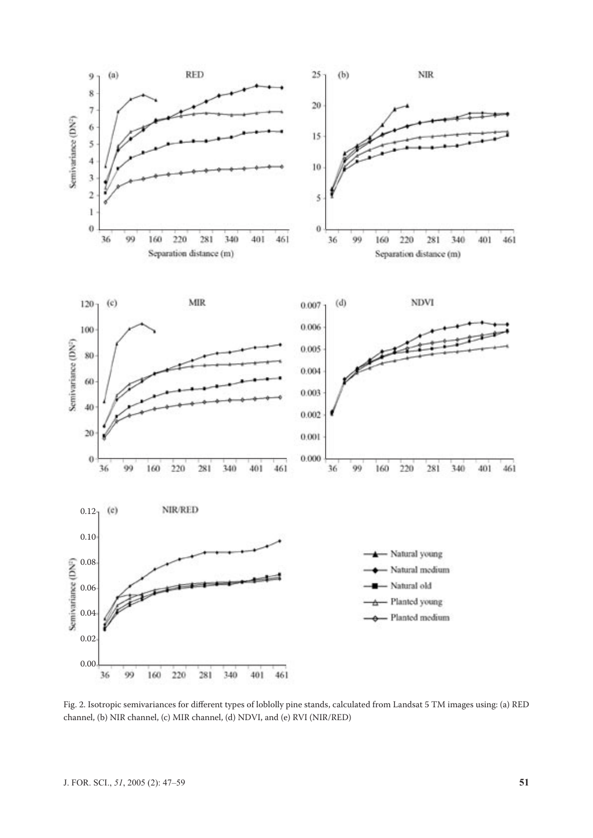

Fig. 2. Isotropic semivariances for different types of loblolly pine stands, calculated from Landsat 5 TM images using: (a) RED channel, (b) NIR channel, (c) MIR channel, (d) NDVI, and (e) RVI (NIR/RED)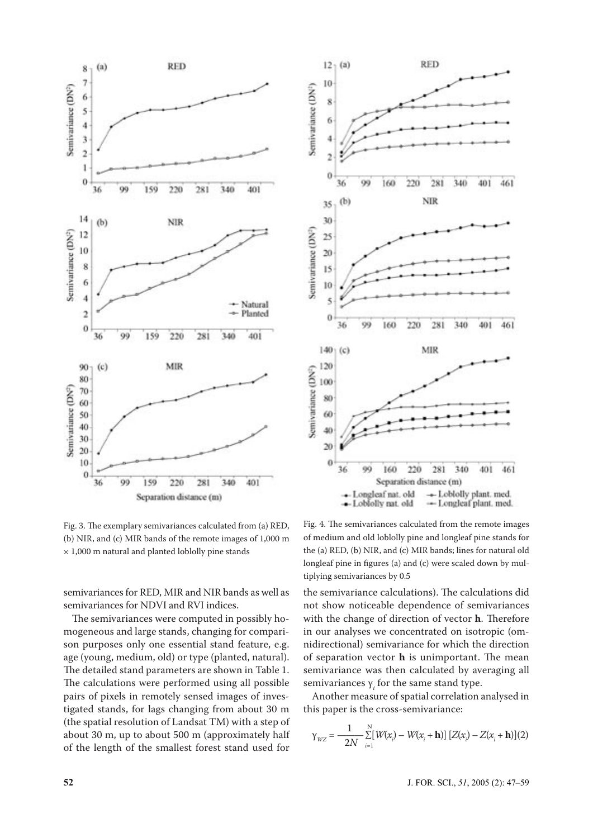



Fig. 3. The exemplary semivariances calculated from (a) RED, (b) NIR, and (c) MIR bands of the remote images of 1,000 m × 1,000 m natural and planted loblolly pine stands

semivariances for RED, MIR and NIR bands as well as semivariances for NDVI and RVI indices.

The semivariances were computed in possibly homogeneous and large stands, changing for comparison purposes only one essential stand feature, e.g. age (young, medium, old) or type (planted, natural). The detailed stand parameters are shown in Table 1. The calculations were performed using all possible pairs of pixels in remotely sensed images of investigated stands, for lags changing from about 30 m (the spatial resolution of Landsat TM) with a step of about 30 m, up to about 500 m (approximately half of the length of the smallest forest stand used for

Fig. 4. The semivariances calculated from the remote images of medium and old loblolly pine and longleaf pine stands for the (a) RED, (b) NIR, and (c) MIR bands; lines for natural old longleaf pine in figures (a) and (c) were scaled down by multiplying semivariances by 0.5

the semivariance calculations). The calculations did not show noticeable dependence of semivariances with the change of direction of vector **h**. Therefore in our analyses we concentrated on isotropic (omnidirectional) semivariance for which the direction of separation vector **h** is unimportant. The mean semivariance was then calculated by averaging all semivariances  $\gamma_i$  for the same stand type.

Another measure of spatial correlation analysed in this paper is the cross-semivariance:

$$
\gamma_{WZ} = \frac{1}{2N} \sum_{i=1}^{N} [W(x_i) - W(x_i + \mathbf{h})] [Z(x_i) - Z(x_i + \mathbf{h})](2)
$$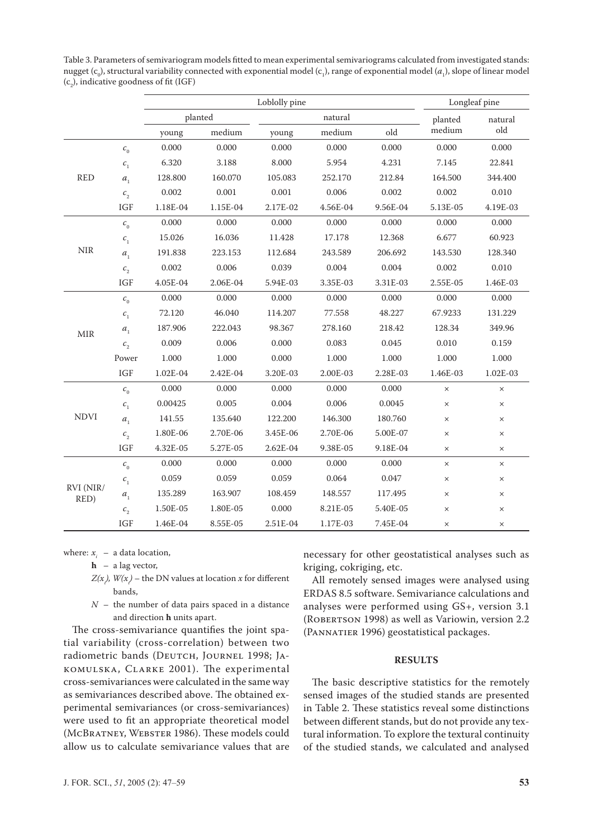|                   |                                            |          |          | Longleaf pine |               |          |          |          |  |
|-------------------|--------------------------------------------|----------|----------|---------------|---------------|----------|----------|----------|--|
|                   |                                            |          | planted  |               | natural       | planted  | natural  |          |  |
|                   |                                            | young    | medium   | young         | old<br>medium |          | medium   | old      |  |
|                   | $c_{0}$                                    | 0.000    | 0.000    | 0.000         | 0.000         | 0.000    | 0.000    | 0.000    |  |
|                   | $\mathcal{C}_1$                            | 6.320    | 3.188    | 8.000         | 5.954         | 4.231    | 7.145    | 22.841   |  |
| <b>RED</b>        | $\boldsymbol{a}_{\text{\tiny{l}}}$         | 128.800  | 160.070  | 105.083       | 252.170       | 212.84   | 164.500  | 344.400  |  |
|                   | $c_{2}$                                    | 0.002    | 0.001    | 0.001         | 0.006         | 0.002    | 0.002    | 0.010    |  |
|                   | IGF                                        | 1.18E-04 | 1.15E-04 | 2.17E-02      | 4.56E-04      | 9.56E-04 | 5.13E-05 | 4.19E-03 |  |
|                   | $\mathcal{C}_0$                            | 0.000    | 0.000    | 0.000         | 0.000         | 0.000    | 0.000    | 0.000    |  |
|                   | $\mathcal{C}_1$                            | 15.026   | 16.036   | 11.428        | 17.178        | 12.368   | 6.677    | 60.923   |  |
| <b>NIR</b>        | $a_{1}$                                    | 191.838  | 223.153  | 112.684       | 243.589       | 206.692  | 143.530  | 128.340  |  |
|                   | $\boldsymbol{c}_{\scriptscriptstyle 2}^{}$ | 0.002    | 0.006    | 0.039         | 0.004         | 0.004    | 0.002    | 0.010    |  |
|                   | <b>IGF</b>                                 | 4.05E-04 | 2.06E-04 | 5.94E-03      | 3.35E-03      | 3.31E-03 | 2.55E-05 | 1.46E-03 |  |
|                   | $c_{0}$                                    | 0.000    | 0.000    | 0.000         | 0.000         | 0.000    | 0.000    | 0.000    |  |
|                   | $\mathcal{C}_1$                            | 72.120   | 46.040   | 114.207       | 77.558        | 48.227   | 67.9233  | 131.229  |  |
| <b>MIR</b>        | $a_{1}$                                    | 187.906  | 222.043  | 98.367        | 278.160       | 218.42   | 128.34   | 349.96   |  |
|                   | $c_{2}$                                    | 0.009    | 0.006    | 0.000         | 0.083         | 0.045    | 0.010    | 0.159    |  |
|                   | Power                                      | 1.000    | 1.000    | 0.000         | 1.000         | 1.000    | 1.000    | 1.000    |  |
|                   | IGF                                        | 1.02E-04 | 2.42E-04 | 3.20E-03      | 2.00E-03      | 2.28E-03 | 1.46E-03 | 1.02E-03 |  |
|                   | $c_{0}$                                    | 0.000    | 0.000    | 0.000         | 0.000         | 0.000    | $\times$ | $\times$ |  |
|                   | $\mathcal{C}_1$                            | 0.00425  | 0.005    | 0.004         | 0.006         | 0.0045   | $\times$ | $\times$ |  |
| <b>NDVI</b>       | $a_{1}$                                    | 141.55   | 135.640  | 122.200       | 146.300       | 180.760  | $\times$ | $\times$ |  |
|                   | $c_{2}$                                    | 1.80E-06 | 2.70E-06 | 3.45E-06      | 2.70E-06      | 5.00E-07 | $\times$ | $\times$ |  |
|                   | <b>IGF</b>                                 | 4.32E-05 | 5.27E-05 | $2.62E - 04$  | 9.38E-05      | 9.18E-04 | $\times$ | ×        |  |
|                   | $c_{0}$                                    | 0.000    | 0.000    | 0.000         | 0.000         | 0.000    | $\times$ | $\times$ |  |
|                   | $\mathcal{C}_1$                            | 0.059    | 0.059    | 0.059         | 0.064         | 0.047    | $\times$ | $\times$ |  |
| RVI (NIR/<br>RED) | $\boldsymbol{a}_{\text{\tiny{l}}}$         | 135.289  | 163.907  | 108.459       | 148.557       | 117.495  | $\times$ | $\times$ |  |
|                   | $c_{2}$                                    | 1.50E-05 | 1.80E-05 | 0.000         | 8.21E-05      | 5.40E-05 | $\times$ | $\times$ |  |
|                   | IGF                                        | 1.46E-04 | 8.55E-05 | 2.51E-04      | 1.17E-03      | 7.45E-04 | $\times$ | $\times$ |  |

Table 3. Parameters of semivariogram models fitted to mean experimental semivariograms calculated from investigated stands: nugget ( $c_0$ ), structural variability connected with exponential model ( $c_1$ ), range of exponential model ( $a_1$ ), slope of linear model  $(c<sub>2</sub>)$ , indicative goodness of fit (IGF)

where:  $x_i$  – a data location,

 **h** – a lag vector,

- $Z(x_{\cdot})$ ,  $W(x_{\cdot})$  the DN values at location  $x$  for different bands,
	- $N -$  the number of data pairs spaced in a distance and direction **h** units apart.

The cross-semivariance quantifies the joint spatial variability (cross-correlation) between two radiometric bands (DEUTCH, JOURNEL 1998; JA-KOMULSKA, CLARKE 2001). The experimental cross-semivariances were calculated in the same way as semivariances described above. The obtained experimental semivariances (or cross-semivariances) were used to fit an appropriate theoretical model (MCBRATNEY, WEBSTER 1986). These models could allow us to calculate semivariance values that are necessary for other geostatistical analyses such as kriging, cokriging, etc.

All remotely sensed images were analysed using ERDAS 8.5 software. Semivariance calculations and analyses were performed using GS+, version 3.1 (ROBERTSON 1998) as well as Variowin, version 2.2 (PANNATIER 1996) geostatistical packages.

### **RESULTS**

The basic descriptive statistics for the remotely sensed images of the studied stands are presented in Table 2. These statistics reveal some distinctions between different stands, but do not provide any textural information. To explore the textural continuity of the studied stands, we calculated and analysed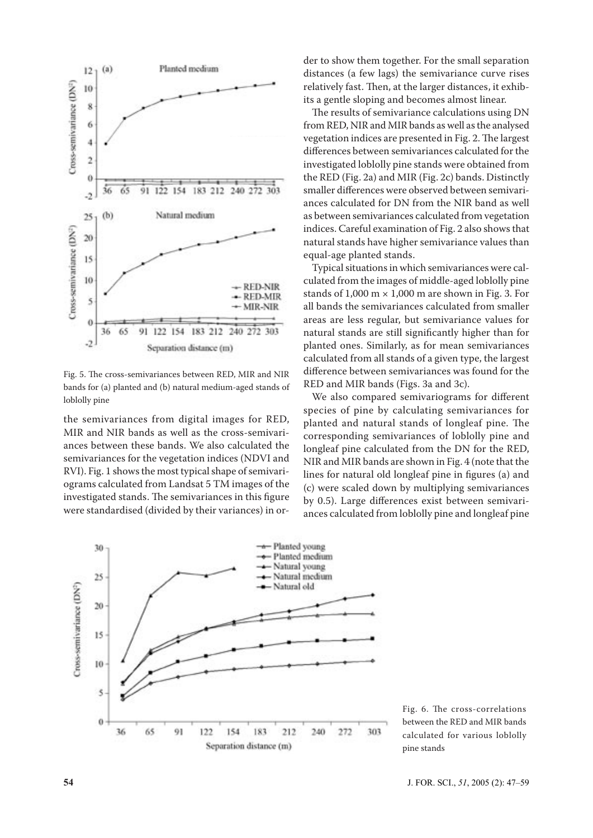

Fig. 5. The cross-semivariances between RED, MIR and NIR bands for (a) planted and (b) natural medium-aged stands of loblolly pine

the semivariances from digital images for RED, MIR and NIR bands as well as the cross-semivariances between these bands. We also calculated the semivariances for the vegetation indices (NDVI and RVI). Fig. 1 shows the most typical shape of semivariograms calculated from Landsat 5 TM images of the investigated stands. The semivariances in this figure were standardised (divided by their variances) in order to show them together. For the small separation distances (a few lags) the semivariance curve rises relatively fast. Then, at the larger distances, it exhibits a gentle sloping and becomes almost linear.

The results of semivariance calculations using DN from RED, NIR and MIR bands as well as the analysed vegetation indices are presented in Fig. 2. The largest differences between semivariances calculated for the investigated loblolly pine stands were obtained from the RED (Fig. 2a) and MIR (Fig. 2c) bands. Distinctly smaller differences were observed between semivariances calculated for DN from the NIR band as well as between semivariances calculated from vegetation indices. Careful examination of Fig. 2 also shows that natural stands have higher semivariance values than equal-age planted stands.

Typical situations in which semivariances were calculated from the images of middle-aged loblolly pine stands of  $1,000 \text{ m} \times 1,000 \text{ m}$  are shown in Fig. 3. For all bands the semivariances calculated from smaller areas are less regular, but semivariance values for natural stands are still significantly higher than for planted ones. Similarly, as for mean semivariances calculated from all stands of a given type, the largest difference between semivariances was found for the RED and MIR bands (Figs. 3a and 3c).

We also compared semivariograms for different species of pine by calculating semivariances for planted and natural stands of longleaf pine. The corresponding semivariances of loblolly pine and longleaf pine calculated from the DN for the RED, NIR and MIR bands are shown in Fig. 4 (note that the lines for natural old longleaf pine in figures (a) and (c) were scaled down by multiplying semivariances by 0.5). Large differences exist between semivariances calculated from loblolly pine and longleaf pine



Fig. 6. The cross-correlations between the RED and MIR bands calculated for various loblolly pine stands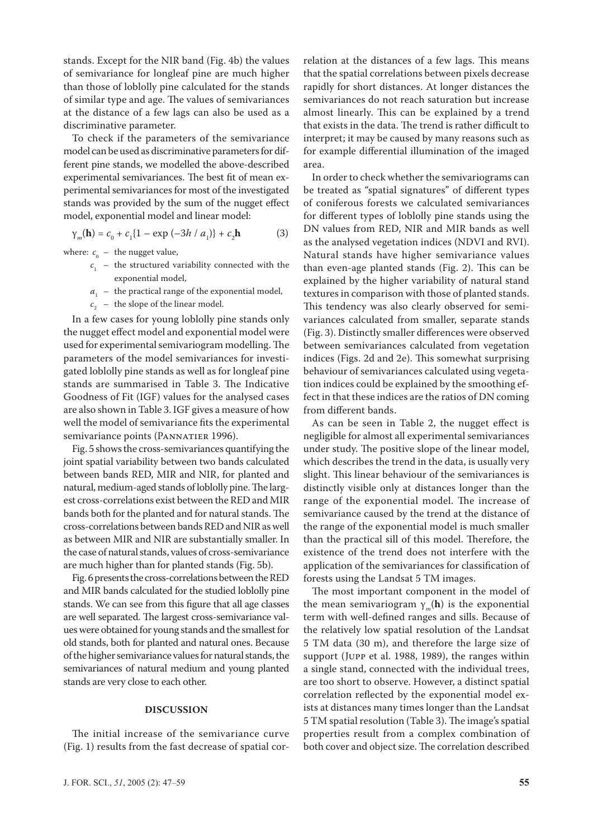stands. Except for the NIR band (Fig. 4b) the values of semivariance for longleaf pine are much higher than those of loblolly pine calculated for the stands of similar type and age. The values of semivariances at the distance of a few lags can also be used as a discriminative parameter.

To check if the parameters of the semivariance model can be used as discriminative parameters for different pine stands, we modelled the above-described experimental semivariances. The best fit of mean experimental semivariances for most of the investigated stands was provided by the sum of the nugget effect model, exponential model and linear model:

$$
\gamma_m(\mathbf{h}) = c_0 + c_1 \{ 1 - \exp(-3h/a_1) \} + c_2 \mathbf{h}
$$
 (3)

where:  $c_{\text{o}}$  – the nugget value,

- $c_1$  the structured variability connected with the exponential model,
- $a_{1}$  the practical range of the exponential model,
- $c_{2}$  the slope of the linear model.

In a few cases for young loblolly pine stands only the nugget effect model and exponential model were used for experimental semivariogram modelling. The parameters of the model semivariances for investigated loblolly pine stands as well as for longleaf pine stands are summarised in Table 3. The Indicative Goodness of Fit (IGF) values for the analysed cases are also shown in Table 3. IGF gives a measure of how well the model of semivariance fits the experimental semivariance points (PANNATIER 1996).

Fig. 5 shows the cross-semivariances quantifying the joint spatial variability between two bands calculated between bands RED, MIR and NIR, for planted and natural, medium-aged stands of loblolly pine. The largest cross-correlations exist between the RED and MIR bands both for the planted and for natural stands. The cross-correlations between bands RED and NIR as well as between MIR and NIR are substantially smaller. In the case of natural stands, values of cross-semivariance are much higher than for planted stands (Fig. 5b).

Fig. 6 presents the cross-correlations between the RED and MIR bands calculated for the studied loblolly pine stands. We can see from this figure that all age classes are well separated. The largest cross-semivariance values were obtained for young stands and the smallest for old stands, both for planted and natural ones. Because of the higher semivariance values for natural stands, the semivariances of natural medium and young planted stands are very close to each other.

#### **DISCUSSION**

The initial increase of the semivariance curve (Fig. 1) results from the fast decrease of spatial correlation at the distances of a few lags. This means that the spatial correlations between pixels decrease rapidly for short distances. At longer distances the semivariances do not reach saturation but increase almost linearly. This can be explained by a trend that exists in the data. The trend is rather difficult to interpret; it may be caused by many reasons such as for example differential illumination of the imaged area.

In order to check whether the semivariograms can be treated as "spatial signatures" of different types of coniferous forests we calculated semivariances for different types of loblolly pine stands using the DN values from RED, NIR and MIR bands as well as the analysed vegetation indices (NDVI and RVI). Natural stands have higher semivariance values than even-age planted stands (Fig. 2). This can be explained by the higher variability of natural stand textures in comparison with those of planted stands. This tendency was also clearly observed for semivariances calculated from smaller, separate stands (Fig. 3). Distinctly smaller differences were observed between semivariances calculated from vegetation indices (Figs. 2d and 2e). This somewhat surprising behaviour of semivariances calculated using vegetation indices could be explained by the smoothing effect in that these indices are the ratios of DN coming from different bands.

As can be seen in Table 2, the nugget effect is negligible for almost all experimental semivariances under study. The positive slope of the linear model, which describes the trend in the data, is usually very slight. This linear behaviour of the semivariances is distinctly visible only at distances longer than the range of the exponential model. The increase of semivariance caused by the trend at the distance of the range of the exponential model is much smaller than the practical sill of this model. Therefore, the existence of the trend does not interfere with the application of the semivariances for classification of forests using the Landsat 5 TM images.

The most important component in the model of the mean semivariogram  $\gamma_m(\mathbf{h})$  is the exponential term with well-defined ranges and sills. Because of the relatively low spatial resolution of the Landsat 5 TM data (30 m), and therefore the large size of support (JUPP et al. 1988, 1989), the ranges within a single stand, connected with the individual trees, are too short to observe. However, a distinct spatial correlation reflected by the exponential model exists at distances many times longer than the Landsat 5 TM spatial resolution (Table 3). The image's spatial properties result from a complex combination of both cover and object size. The correlation described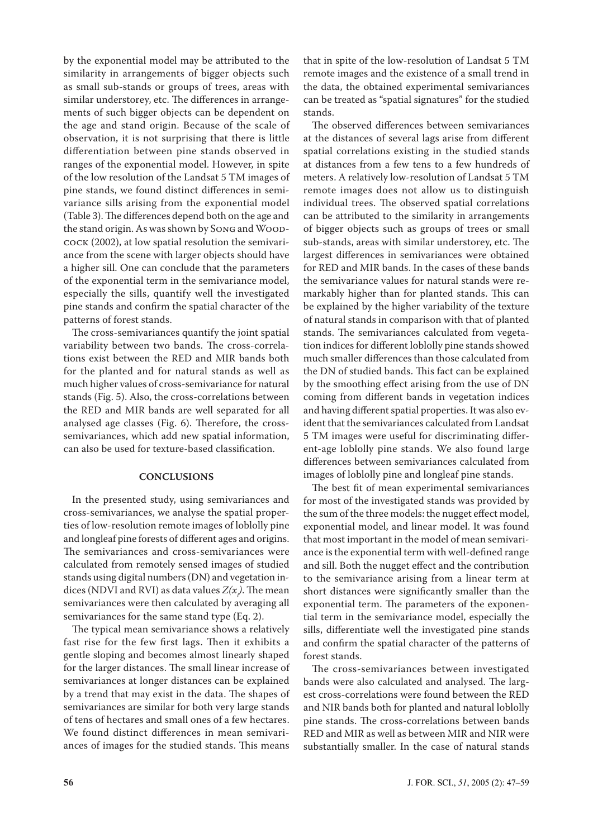by the exponential model may be attributed to the similarity in arrangements of bigger objects such as small sub-stands or groups of trees, areas with similar understorey, etc. The differences in arrangements of such bigger objects can be dependent on the age and stand origin. Because of the scale of observation, it is not surprising that there is little differentiation between pine stands observed in ranges of the exponential model. However, in spite of the low resolution of the Landsat 5 TM images of pine stands, we found distinct differences in semivariance sills arising from the exponential model (Table 3). The differences depend both on the age and the stand origin. As was shown by SONG and WOOD-COCK (2002), at low spatial resolution the semivariance from the scene with larger objects should have a higher sill. One can conclude that the parameters of the exponential term in the semivariance model, especially the sills, quantify well the investigated pine stands and confirm the spatial character of the patterns of forest stands.

The cross-semivariances quantify the joint spatial variability between two bands. The cross-correlations exist between the RED and MIR bands both for the planted and for natural stands as well as much higher values of cross-semivariance for natural stands (Fig. 5). Also, the cross-correlations between the RED and MIR bands are well separated for all analysed age classes (Fig. 6). Therefore, the crosssemivariances, which add new spatial information, can also be used for texture-based classification.

#### **CONCLUSIONS**

In the presented study, using semivariances and cross-semivariances, we analyse the spatial properties of low-resolution remote images of loblolly pine and longleaf pine forests of different ages and origins. The semivariances and cross-semivariances were calculated from remotely sensed images of studied stands using digital numbers (DN) and vegetation indices (NDVI and RVI) as data values  $Z(x_{\vphantom{\overline{J}}},\overline{r})$  . The mean semivariances were then calculated by averaging all semivariances for the same stand type (Eq. 2).

The typical mean semivariance shows a relatively fast rise for the few first lags. Then it exhibits a gentle sloping and becomes almost linearly shaped for the larger distances. The small linear increase of semivariances at longer distances can be explained by a trend that may exist in the data. The shapes of semivariances are similar for both very large stands of tens of hectares and small ones of a few hectares. We found distinct differences in mean semivariances of images for the studied stands. This means

that in spite of the low-resolution of Landsat 5 TM remote images and the existence of a small trend in the data, the obtained experimental semivariances can be treated as "spatial signatures" for the studied stands.

The observed differences between semivariances at the distances of several lags arise from different spatial correlations existing in the studied stands at distances from a few tens to a few hundreds of meters. A relatively low-resolution of Landsat 5 TM remote images does not allow us to distinguish individual trees. The observed spatial correlations can be attributed to the similarity in arrangements of bigger objects such as groups of trees or small sub-stands, areas with similar understorey, etc. The largest differences in semivariances were obtained for RED and MIR bands. In the cases of these bands the semivariance values for natural stands were remarkably higher than for planted stands. This can be explained by the higher variability of the texture of natural stands in comparison with that of planted stands. The semivariances calculated from vegetation indices for different loblolly pine stands showed much smaller differences than those calculated from the DN of studied bands. This fact can be explained by the smoothing effect arising from the use of DN coming from different bands in vegetation indices and having different spatial properties. It was also evident that the semivariances calculated from Landsat 5 TM images were useful for discriminating different-age loblolly pine stands. We also found large differences between semivariances calculated from images of loblolly pine and longleaf pine stands.

The best fit of mean experimental semivariances for most of the investigated stands was provided by the sum of the three models: the nugget effect model, exponential model, and linear model. It was found that most important in the model of mean semivariance is the exponential term with well-defined range and sill. Both the nugget effect and the contribution to the semivariance arising from a linear term at short distances were significantly smaller than the exponential term. The parameters of the exponential term in the semivariance model, especially the sills, differentiate well the investigated pine stands and confirm the spatial character of the patterns of forest stands.

The cross-semivariances between investigated bands were also calculated and analysed. The largest cross-correlations were found between the RED and NIR bands both for planted and natural loblolly pine stands. The cross-correlations between bands RED and MIR as well as between MIR and NIR were substantially smaller. In the case of natural stands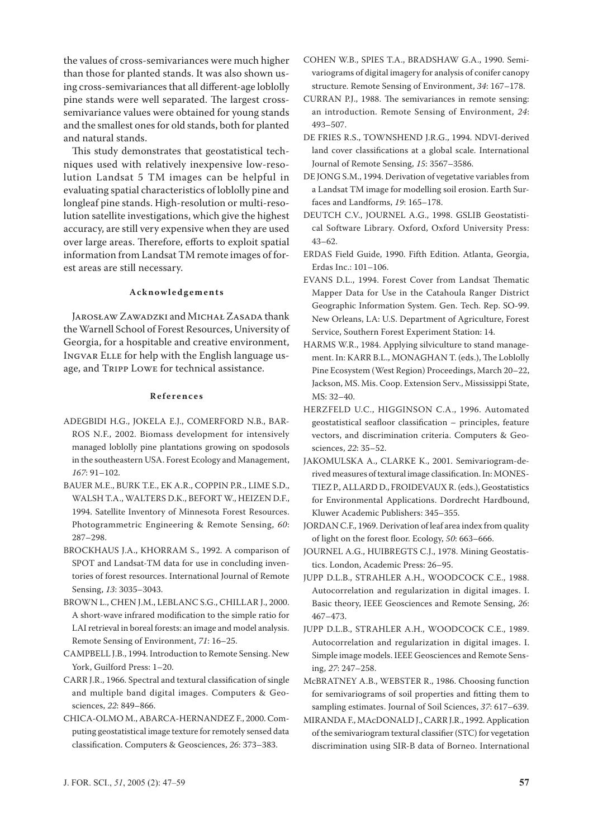the values of cross-semivariances were much higher than those for planted stands. It was also shown using cross-semivariances that all different-age loblolly pine stands were well separated. The largest crosssemivariance values were obtained for young stands and the smallest ones for old stands, both for planted and natural stands.

This study demonstrates that geostatistical techniques used with relatively inexpensive low-resolution Landsat 5 TM images can be helpful in evaluating spatial characteristics of loblolly pine and longleaf pine stands. High-resolution or multi-resolution satellite investigations, which give the highest accuracy, are still very expensive when they are used over large areas. Therefore, efforts to exploit spatial information from Landsat TM remote images of forest areas are still necessary.

#### **Ac k n o w l e d g e m e n t s**

JAROSŁAW ZAWADZKI and MICHAŁ ZASADA thank the Warnell School of Forest Resources, University of Georgia, for a hospitable and creative environment, INGVAR ELLE for help with the English language usage, and TRIPP LOWE for technical assistance.

#### **R e f e r e n c e s**

- ADEGBIDI H.G., JOKELA E.J., COMERFORD N.B., BAR-ROS N.F., 2002. Biomass development for intensively managed loblolly pine plantations growing on spodosols in the southeastern USA. Forest Ecology and Management, *167*: 91–102.
- BAUER M.E., BURK T.E., EK A.R., COPPIN P.R., LIME S.D., WALSH T.A., WALTERS D.K., BEFORT W., HEIZEN D.F., 1994. Satellite Inventory of Minnesota Forest Resources. Photogrammetric Engineering & Remote Sensing, *60*: 287–298.
- BROCKHAUS J.A., KHORRAM S., 1992. A comparison of SPOT and Landsat-TM data for use in concluding inventories of forest resources. International Journal of Remote Sensing, *13*: 3035–3043.

BROWN L., CHEN J.M., LEBLANC S.G., CHILLAR J., 2000. A short-wave infrared modification to the simple ratio for LAI retrieval in boreal forests: an image and model analysis. Remote Sensing of Environment, *71*: 16–25.

CAMPBELL J.B., 1994. Introduction to Remote Sensing. New York, Guilford Press: 1–20.

CARR J.R., 1966. Spectral and textural classification of single and multiple band digital images. Computers & Geosciences, *22*: 849–866.

CHICA-OLMO M., ABARCA-HERNANDEZ F., 2000. Computing geostatistical image texture for remotely sensed data classification. Computers & Geosciences, *26*: 373–383.

- COHEN W.B., SPIES T.A., BRADSHAW G.A., 1990. Semivariograms of digital imagery for analysis of conifer canopy structure. Remote Sensing of Environment, *34*: 167–178.
- CURRAN P.J., 1988. The semivariances in remote sensing: an introduction. Remote Sensing of Environment, *24*: 493–507.
- DE FRIES R.S., TOWNSHEND J.R.G., 1994. NDVI-derived land cover classifications at a global scale. International Journal of Remote Sensing, *15*: 3567–3586.
- DE JONG S.M., 1994. Derivation of vegetative variables from a Landsat TM image for modelling soil erosion. Earth Surfaces and Landforms, *19*: 165–178.
- DEUTCH C.V., JOURNEL A.G., 1998. GSLIB Geostatistical Software Library. Oxford, Oxford University Press: 43–62.
- ERDAS Field Guide, 1990. Fifth Edition. Atlanta, Georgia, Erdas Inc.: 101–106.
- EVANS D.L., 1994. Forest Cover from Landsat Thematic Mapper Data for Use in the Catahoula Ranger District Geographic Information System. Gen. Tech. Rep. SO-99. New Orleans, LA: U.S. Department of Agriculture, Forest Service, Southern Forest Experiment Station: 14.
- HARMS W.R., 1984. Applying silviculture to stand management. In: KARR B.L., MONAGHAN T. (eds.), The Loblolly Pine Ecosystem (West Region) Proceedings, March 20–22, Jackson, MS. Mis. Coop. Extension Serv., Mississippi State, MS: 32–40.
- HERZFELD U.C., HIGGINSON C.A., 1996. Automated geostatistical seafloor classification – principles, feature vectors, and discrimination criteria. Computers & Geosciences, *22*: 35–52.
- JAKOMULSKA A., CLARKE K., 2001. Semivariogram-derived measures of textural image classification. In: MONES-TIEZ P., ALLARD D., FROIDEVAUX R. (eds.), Geostatistics for Environmental Applications. Dordrecht Hardbound, Kluwer Academic Publishers: 345–355.
- JORDAN C.F., 1969. Derivation of leaf area index from quality of light on the forest floor. Ecology, *50*: 663–666.
- JOURNEL A.G., HUIBREGTS C.J., 1978. Mining Geostatistics. London, Academic Press: 26–95.
- JUPP D.L.B., STRAHLER A.H., WOODCOCK C.E., 1988. Autocorrelation and regularization in digital images. I. Basic theory, IEEE Geosciences and Remote Sensing, *26*: 467–473.
- JUPP D.L.B., STRAHLER A.H., WOODCOCK C.E., 1989. Autocorrelation and regularization in digital images. I. Simple image models. IEEE Geosciences and Remote Sensing, *27*: 247–258.
- McBRATNEY A.B., WEBSTER R., 1986. Choosing function for semivariograms of soil properties and fitting them to sampling estimates. Journal of Soil Sciences, *37*: 617–639.

MIRANDA F., MAcDONALD J., CARR J.R., 1992. Application of the semivariogram textural classifier (STC) for vegetation discrimination using SIR-B data of Borneo. International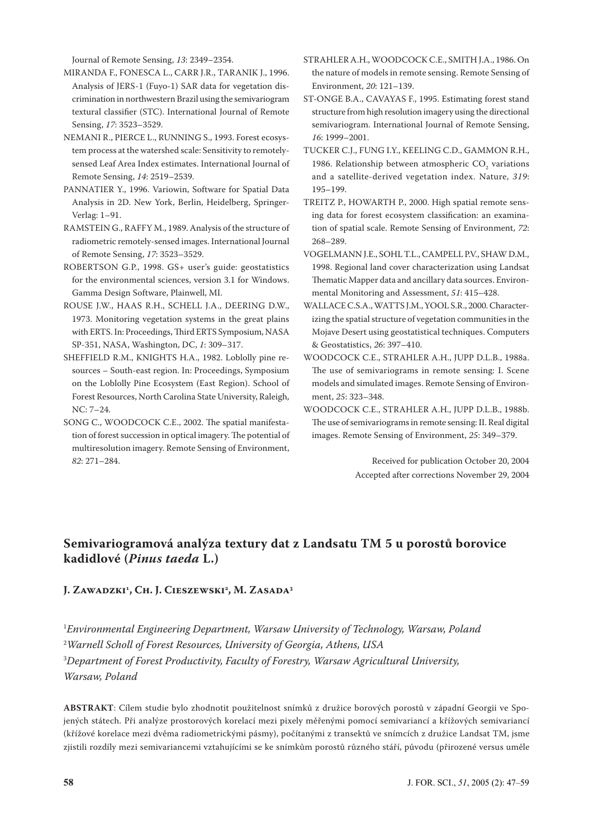Journal of Remote Sensing, *13*: 2349–2354.

- MIRANDA F., FONESCA L., CARR J.R., TARANIK J., 1996. Analysis of JERS-1 (Fuyo-1) SAR data for vegetation discrimination in northwestern Brazil using the semivariogram textural classifier (STC). International Journal of Remote Sensing, *17*: 3523–3529.
- NEMANI R., PIERCE L., RUNNING S., 1993. Forest ecosystem process at the watershed scale: Sensitivity to remotelysensed Leaf Area Index estimates. International Journal of Remote Sensing, *14*: 2519–2539.
- PANNATIER Y., 1996. Variowin, Software for Spatial Data Analysis in 2D. New York, Berlin, Heidelberg, Springer-Verlag: 1–91.
- RAMSTEIN G., RAFFY M., 1989. Analysis of the structure of radiometric remotely-sensed images. International Journal of Remote Sensing, *17*: 3523–3529.
- ROBERTSON G.P., 1998. GS+ user's guide: geostatistics for the environmental sciences, version 3.1 for Windows. Gamma Design Software, Plainwell, MI.
- ROUSE J.W., HAAS R.H., SCHELL J.A., DEERING D.W., 1973. Monitoring vegetation systems in the great plains with ERTS. In: Proceedings, Third ERTS Symposium, NASA SP-351, NASA, Washington, DC, *1*: 309–317.
- SHEFFIELD R.M., KNIGHTS H.A., 1982. Loblolly pine resources – South-east region. In: Proceedings, Symposium on the Loblolly Pine Ecosystem (East Region). School of Forest Resources, North Carolina State University, Raleigh, NC: 7–24.
- SONG C., WOODCOCK C.E., 2002. The spatial manifestation of forest succession in optical imagery. The potential of multiresolution imagery. Remote Sensing of Environment, *82*: 271–284.
- STRAHLER A.H., WOODCOCK C.E., SMITH J.A., 1986. On the nature of models in remote sensing. Remote Sensing of Environment, *20*: 121–139.
- ST-ONGE B.A., CAVAYAS F., 1995. Estimating forest stand structure from high resolution imagery using the directional semivariogram. International Journal of Remote Sensing, *16*: 1999–2001.
- TUCKER C.J., FUNG I.Y., KEELING C.D., GAMMON R.H., 1986. Relationship between atmospheric  $CO<sub>2</sub>$  variations and a satellite-derived vegetation index. Nature, *319*: 195–199.
- TREITZ P., HOWARTH P., 2000. High spatial remote sensing data for forest ecosystem classification: an examination of spatial scale. Remote Sensing of Environment, *72*: 268–289.
- VOGELMANN J.E., SOHL T.L., CAMPELL P.V., SHAW D.M., 1998. Regional land cover characterization using Landsat Thematic Mapper data and ancillary data sources. Environmental Monitoring and Assessment, *51*: 415–428.
- WALLACE C.S.A., WATTS J.M., YOOL S.R., 2000. Characterizing the spatial structure of vegetation communities in the Mojave Desert using geostatistical techniques. Computers & Geostatistics, *26*: 397–410.
- WOODCOCK C.E., STRAHLER A.H., JUPP D.L.B., 1988a. The use of semivariograms in remote sensing: I. Scene models and simulated images. Remote Sensing of Environment, *25*: 323–348.
- WOODCOCK C.E., STRAHLER A.H., JUPP D.L.B., 1988b. The use of semivariograms in remote sensing: II. Real digital images. Remote Sensing of Environment, *25*: 349–379.

Received for publication October 20, 2004 Accepted after corrections November 29, 2004

# **Semivariogramová analýza textury dat z Landsatu TM 5 u porostů borovice kadidlové (***Pinus taeda* **L.)**

**J. ZAWADZKI1 , CH. J. CIESZEWSKI2 , M. ZASADA3**

 *Environmental Engineering Department, Warsaw University of Technology, Warsaw, Poland Warnell Scholl of Forest Resources, University of Georgia, Athens, USA Department of Forest Productivity, Faculty of Forestry, Warsaw Agricultural University, Warsaw, Poland*

**ABSTRAKT**: Cílem studie bylo zhodnotit použitelnost snímků z družice borových porostů v západní Georgii ve Spojených státech. Při analýze prostorových korelací mezi pixely měřenými pomocí semivariancí a křížových semivariancí (křížové korelace mezi dvěma radiometrickými pásmy), počítanými z transektů ve snímcích z družice Landsat TM, jsme zjistili rozdíly mezi semivariancemi vztahujícími se ke snímkům porostů různého stáří, původu (přirozené versus uměle